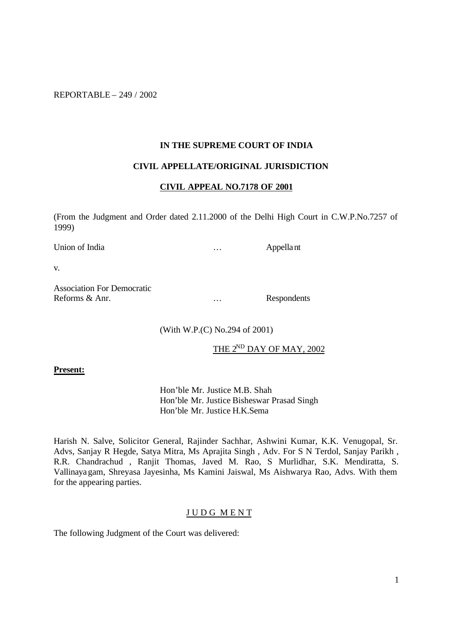REPORTABLE – 249 / 2002

### **IN THE SUPREME COURT OF INDIA**

## **CIVIL APPELLATE/ORIGINAL JURISDICTION**

### **CIVIL APPEAL NO.7178 OF 2001**

(From the Judgment and Order dated 2.11.2000 of the Delhi High Court in C.W.P.No.7257 of 1999)

Union of India <br>
matrix and the contract of the Appellant end of India  $\cdots$  Appellant

v.

Association For Democratic Reforms & Anr. <br> … Respondents

(With W.P.(C) No.294 of 2001)

THE 2<sup>ND</sup> DAY OF MAY, 2002

#### **Present:**

Hon'ble Mr. Justice M.B. Shah Hon'ble Mr. Justice Bisheswar Prasad Singh Hon'ble Mr. Justice H.K.Sema

Harish N. Salve, Solicitor General, Rajinder Sachhar, Ashwini Kumar, K.K. Venugopal, Sr. Advs, Sanjay R Hegde, Satya Mitra, Ms Aprajita Singh , Adv. For S N Terdol, Sanjay Parikh , R.R. Chandrachud , Ranjit Thomas, Javed M. Rao, S Murlidhar, S.K. Mendiratta, S. Vallinayagam, Shreyasa Jayesinha, Ms Kamini Jaiswal, Ms Aishwarya Rao, Advs. With them for the appearing parties.

### J U D G M E N T

The following Judgment of the Court was delivered: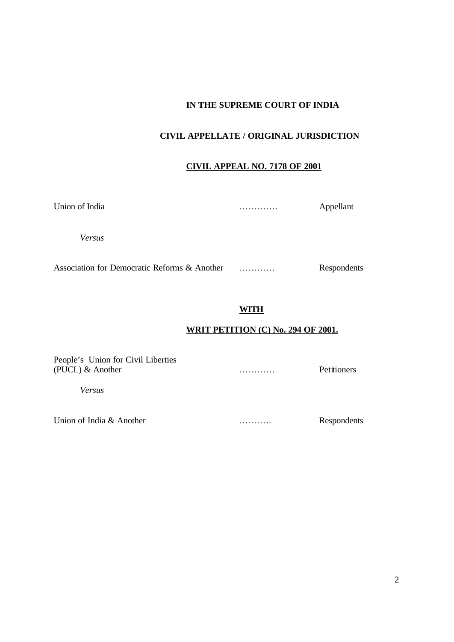# **IN THE SUPREME COURT OF INDIA**

# **CIVIL APPELLATE / ORIGINAL JURISDICTION**

# **CIVIL APPEAL NO. 7178 OF 2001**

| Union of India | . | Appellant |
|----------------|---|-----------|
| Versus         |   |           |

Association for Democratic Reforms & Another ………… Respondents

# **WITH**

# **WRIT PETITION (C) No. 294 OF 2001.**

People's Union for Civil Liberties (PUCL) & Another ………… Petitioners

*Versus*

Union of India & Another <br>
Respondents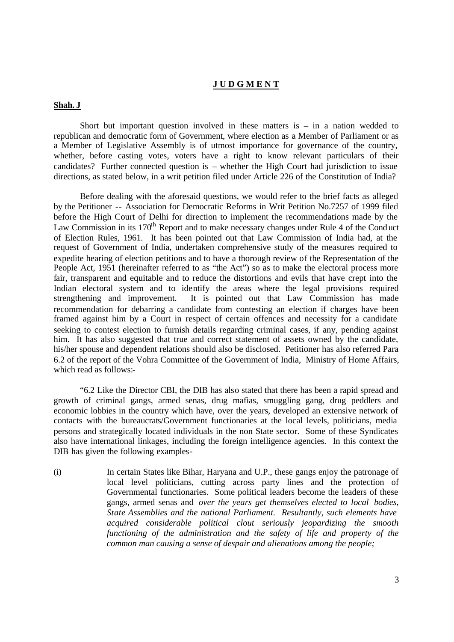### **J U D G M E N T**

### **Shah. J**

Short but important question involved in these matters is  $-$  in a nation wedded to republican and democratic form of Government, where election as a Member of Parliament or as a Member of Legislative Assembly is of utmost importance for governance of the country, whether, before casting votes, voters have a right to know relevant particulars of their candidates? Further connected question is – whether the High Court had jurisdiction to issue directions, as stated below, in a writ petition filed under Article 226 of the Constitution of India?

Before dealing with the aforesaid questions, we would refer to the brief facts as alleged by the Petitioner -- Association for Democratic Reforms in Writ Petition No.7257 of 1999 filed before the High Court of Delhi for direction to implement the recommendations made by the Law Commission in its 170<sup>th</sup> Report and to make necessary changes under Rule 4 of the Conduct of Election Rules, 1961. It has been pointed out that Law Commission of India had, at the request of Government of India, undertaken comprehensive study of the measures required to expedite hearing of election petitions and to have a thorough review of the Representation of the People Act, 1951 (hereinafter referred to as "the Act") so as to make the electoral process more fair, transparent and equitable and to reduce the distortions and evils that have crept into the Indian electoral system and to identify the areas where the legal provisions required strengthening and improvement. It is pointed out that Law Commission has made recommendation for debarring a candidate from contesting an election if charges have been framed against him by a Court in respect of certain offences and necessity for a candidate seeking to contest election to furnish details regarding criminal cases, if any, pending against him. It has also suggested that true and correct statement of assets owned by the candidate, his/her spouse and dependent relations should also be disclosed. Petitioner has also referred Para 6.2 of the report of the Vohra Committee of the Government of India, Ministry of Home Affairs, which read as follows:-

"6.2 Like the Director CBI, the DIB has also stated that there has been a rapid spread and growth of criminal gangs, armed senas, drug mafias, smuggling gang, drug peddlers and economic lobbies in the country which have, over the years, developed an extensive network of contacts with the bureaucrats/Government functionaries at the local levels, politicians, media persons and strategically located individuals in the non State sector. Some of these Syndicates also have international linkages, including the foreign intelligence agencies. In this context the DIB has given the following examples-

(i) In certain States like Bihar, Haryana and U.P., these gangs enjoy the patronage of local level politicians, cutting across party lines and the protection of Governmental functionaries. Some political leaders become the leaders of these gangs, armed senas and *over the years get themselves elected to local bodies, State Assemblies and the national Parliament. Resultantly, such elements have acquired considerable political clout seriously jeopardizing the smooth functioning of the administration and the safety of life and property of the common man causing a sense of despair and alienations among the people;*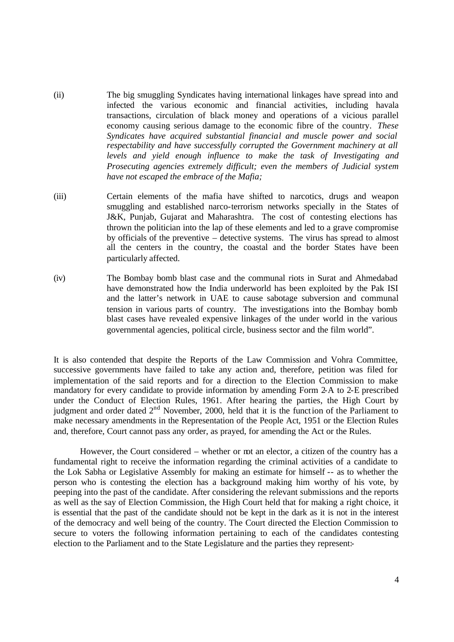- (ii) The big smuggling Syndicates having international linkages have spread into and infected the various economic and financial activities, including havala transactions, circulation of black money and operations of a vicious parallel economy causing serious damage to the economic fibre of the country. *These Syndicates have acquired substantial financial and muscle power and social respectability and have successfully corrupted the Government machinery at all levels and yield enough influence to make the task of Investigating and Prosecuting agencies extremely difficult; even the members of Judicial system have not escaped the embrace of the Mafia;*
- (iii) Certain elements of the mafia have shifted to narcotics, drugs and weapon smuggling and established narco-terrorism networks specially in the States of J&K, Punjab, Gujarat and Maharashtra. The cost of contesting elections has thrown the politician into the lap of these elements and led to a grave compromise by officials of the preventive – detective systems. The virus has spread to almost all the centers in the country, the coastal and the border States have been particularly affected.
- (iv) The Bombay bomb blast case and the communal riots in Surat and Ahmedabad have demonstrated how the India underworld has been exploited by the Pak ISI and the latter's network in UAE to cause sabotage subversion and communal tension in various parts of country. The investigations into the Bombay bomb blast cases have revealed expensive linkages of the under world in the various governmental agencies, political circle, business sector and the film world".

It is also contended that despite the Reports of the Law Commission and Vohra Committee, successive governments have failed to take any action and, therefore, petition was filed for implementation of the said reports and for a direction to the Election Commission to make mandatory for every candidate to provide information by amending Form 2-A to 2-E prescribed under the Conduct of Election Rules, 1961. After hearing the parties, the High Court by judgment and order dated 2<sup>nd</sup> November, 2000, held that it is the function of the Parliament to make necessary amendments in the Representation of the People Act, 1951 or the Election Rules and, therefore, Court cannot pass any order, as prayed, for amending the Act or the Rules.

However, the Court considered – whether or not an elector, a citizen of the country has a fundamental right to receive the information regarding the criminal activities of a candidate to the Lok Sabha or Legislative Assembly for making an estimate for himself -- as to whether the person who is contesting the election has a background making him worthy of his vote, by peeping into the past of the candidate. After considering the relevant submissions and the reports as well as the say of Election Commission, the High Court held that for making a right choice, it is essential that the past of the candidate should not be kept in the dark as it is not in the interest of the democracy and well being of the country. The Court directed the Election Commission to secure to voters the following information pertaining to each of the candidates contesting election to the Parliament and to the State Legislature and the parties they represent:-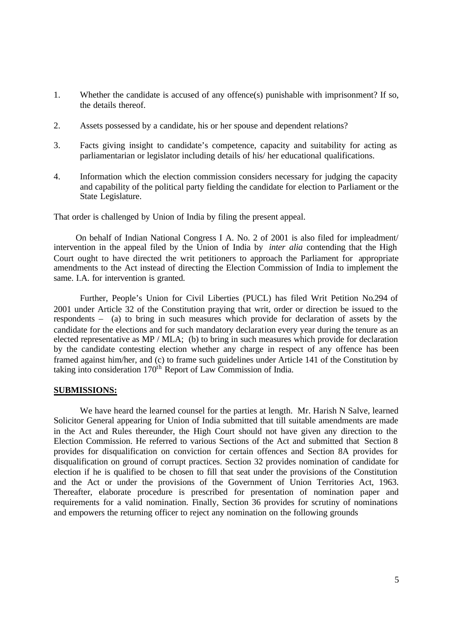- 1. Whether the candidate is accused of any offence(s) punishable with imprisonment? If so, the details thereof.
- 2. Assets possessed by a candidate, his or her spouse and dependent relations?
- 3. Facts giving insight to candidate's competence, capacity and suitability for acting as parliamentarian or legislator including details of his/ her educational qualifications.
- 4. Information which the election commission considers necessary for judging the capacity and capability of the political party fielding the candidate for election to Parliament or the State Legislature.

That order is challenged by Union of India by filing the present appeal.

 On behalf of Indian National Congress I A. No. 2 of 2001 is also filed for impleadment/ intervention in the appeal filed by the Union of India by *inter alia* contending that the High Court ought to have directed the writ petitioners to approach the Parliament for appropriate amendments to the Act instead of directing the Election Commission of India to implement the same. I.A. for intervention is granted.

Further, People's Union for Civil Liberties (PUCL) has filed Writ Petition No.294 of 2001 under Article 32 of the Constitution praying that writ, order or direction be issued to the respondents – (a) to bring in such measures which provide for declaration of assets by the candidate for the elections and for such mandatory declaration every year during the tenure as an elected representative as MP / MLA; (b) to bring in such measures which provide for declaration by the candidate contesting election whether any charge in respect of any offence has been framed against him/her, and (c) to frame such guidelines under Article 141 of the Constitution by taking into consideration 170<sup>th</sup> Report of Law Commission of India.

#### **SUBMISSIONS:**

We have heard the learned counsel for the parties at length. Mr. Harish N Salve, learned Solicitor General appearing for Union of India submitted that till suitable amendments are made in the Act and Rules thereunder, the High Court should not have given any direction to the Election Commission. He referred to various Sections of the Act and submitted that Section 8 provides for disqualification on conviction for certain offences and Section 8A provides for disqualification on ground of corrupt practices. Section 32 provides nomination of candidate for election if he is qualified to be chosen to fill that seat under the provisions of the Constitution and the Act or under the provisions of the Government of Union Territories Act, 1963. Thereafter, elaborate procedure is prescribed for presentation of nomination paper and requirements for a valid nomination. Finally, Section 36 provides for scrutiny of nominations and empowers the returning officer to reject any nomination on the following grounds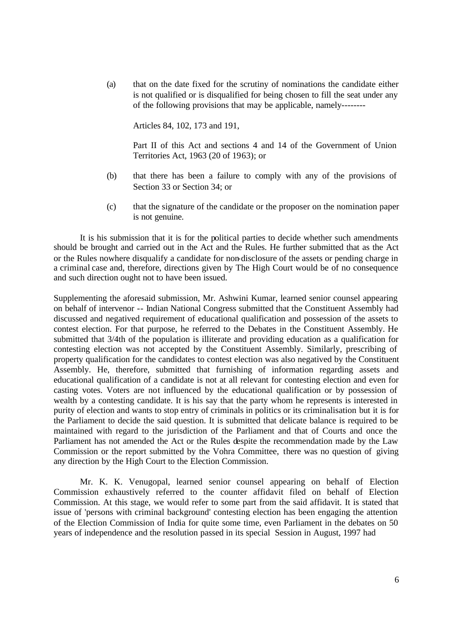(a) that on the date fixed for the scrutiny of nominations the candidate either is not qualified or is disqualified for being chosen to fill the seat under any of the following provisions that may be applicable, namely--------

Articles 84, 102, 173 and 191,

Part II of this Act and sections 4 and 14 of the Government of Union Territories Act, 1963 (20 of 1963); or

- (b) that there has been a failure to comply with any of the provisions of Section 33 or Section 34; or
- (c) that the signature of the candidate or the proposer on the nomination paper is not genuine.

It is his submission that it is for the political parties to decide whether such amendments should be brought and carried out in the Act and the Rules. He further submitted that as the Act or the Rules nowhere disqualify a candidate for non-disclosure of the assets or pending charge in a criminal case and, therefore, directions given by The High Court would be of no consequence and such direction ought not to have been issued.

Supplementing the aforesaid submission, Mr. Ashwini Kumar, learned senior counsel appearing on behalf of intervenor -- Indian National Congress submitted that the Constituent Assembly had discussed and negatived requirement of educational qualification and possession of the assets to contest election. For that purpose, he referred to the Debates in the Constituent Assembly. He submitted that 3/4th of the population is illiterate and providing education as a qualification for contesting election was not accepted by the Constituent Assembly. Similarly, prescribing of property qualification for the candidates to contest election was also negatived by the Constituent Assembly. He, therefore, submitted that furnishing of information regarding assets and educational qualification of a candidate is not at all relevant for contesting election and even for casting votes. Voters are not influenced by the educational qualification or by possession of wealth by a contesting candidate. It is his say that the party whom he represents is interested in purity of election and wants to stop entry of criminals in politics or its criminalisation but it is for the Parliament to decide the said question. It is submitted that delicate balance is required to be maintained with regard to the jurisdiction of the Parliament and that of Courts and once the Parliament has not amended the Act or the Rules despite the recommendation made by the Law Commission or the report submitted by the Vohra Committee, there was no question of giving any direction by the High Court to the Election Commission.

Mr. K. K. Venugopal, learned senior counsel appearing on behalf of Election Commission exhaustively referred to the counter affidavit filed on behalf of Election Commission. At this stage, we would refer to some part from the said affidavit. It is stated that issue of 'persons with criminal background' contesting election has been engaging the attention of the Election Commission of India for quite some time, even Parliament in the debates on 50 years of independence and the resolution passed in its special Session in August, 1997 had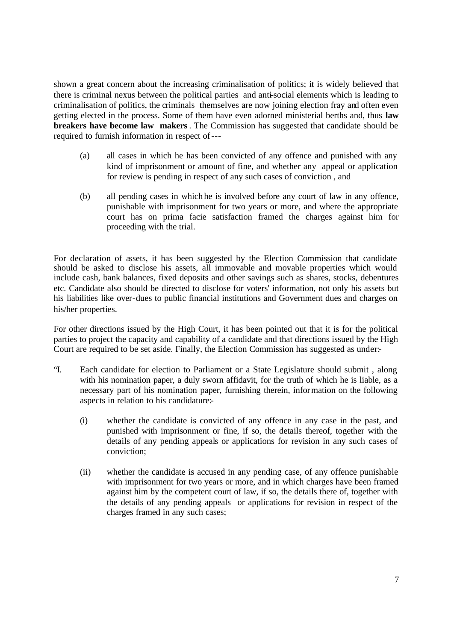shown a great concern about the increasing criminalisation of politics; it is widely believed that there is criminal nexus between the political parties and anti-social elements which is leading to criminalisation of politics, the criminals themselves are now joining election fray and often even getting elected in the process. Some of them have even adorned ministerial berths and, thus **law breakers have become law makers**. The Commission has suggested that candidate should be required to furnish information in respect of---

- (a) all cases in which he has been convicted of any offence and punished with any kind of imprisonment or amount of fine, and whether any appeal or application for review is pending in respect of any such cases of conviction , and
- (b) all pending cases in which he is involved before any court of law in any offence, punishable with imprisonment for two years or more, and where the appropriate court has on prima facie satisfaction framed the charges against him for proceeding with the trial.

For declaration of assets, it has been suggested by the Election Commission that candidate should be asked to disclose his assets, all immovable and movable properties which would include cash, bank balances, fixed deposits and other savings such as shares, stocks, debentures etc. Candidate also should be directed to disclose for voters' information, not only his assets but his liabilities like over-dues to public financial institutions and Government dues and charges on his/her properties.

For other directions issued by the High Court, it has been pointed out that it is for the political parties to project the capacity and capability of a candidate and that directions issued by the High Court are required to be set aside. Finally, the Election Commission has suggested as under:-

- "I. Each candidate for election to Parliament or a State Legislature should submit , along with his nomination paper, a duly sworn affidavit, for the truth of which he is liable, as a necessary part of his nomination paper, furnishing therein, information on the following aspects in relation to his candidature:-
	- (i) whether the candidate is convicted of any offence in any case in the past, and punished with imprisonment or fine, if so, the details thereof, together with the details of any pending appeals or applications for revision in any such cases of conviction;
	- (ii) whether the candidate is accused in any pending case, of any offence punishable with imprisonment for two years or more, and in which charges have been framed against him by the competent court of law, if so, the details there of, together with the details of any pending appeals or applications for revision in respect of the charges framed in any such cases;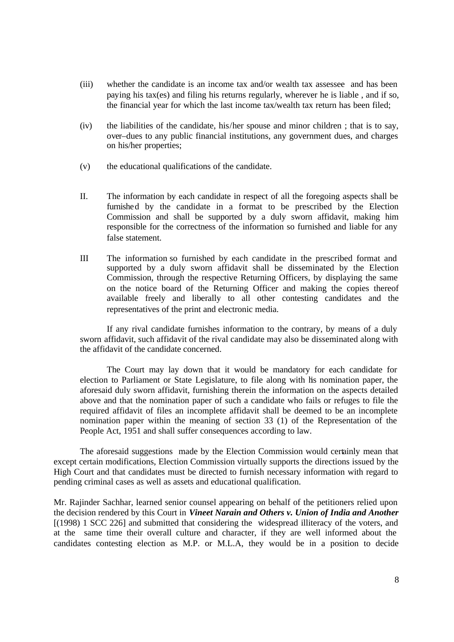- (iii) whether the candidate is an income tax and/or wealth tax assessee and has been paying his tax(es) and filing his returns regularly, wherever he is liable , and if so, the financial year for which the last income tax/wealth tax return has been filed;
- (iv) the liabilities of the candidate, his/her spouse and minor children ; that is to say, over–dues to any public financial institutions, any government dues, and charges on his/her properties;
- (v) the educational qualifications of the candidate.
- II. The information by each candidate in respect of all the foregoing aspects shall be furnished by the candidate in a format to be prescribed by the Election Commission and shall be supported by a duly sworn affidavit, making him responsible for the correctness of the information so furnished and liable for any false statement.
- III The information so furnished by each candidate in the prescribed format and supported by a duly sworn affidavit shall be disseminated by the Election Commission, through the respective Returning Officers, by displaying the same on the notice board of the Returning Officer and making the copies thereof available freely and liberally to all other contesting candidates and the representatives of the print and electronic media.

If any rival candidate furnishes information to the contrary, by means of a duly sworn affidavit, such affidavit of the rival candidate may also be disseminated along with the affidavit of the candidate concerned.

The Court may lay down that it would be mandatory for each candidate for election to Parliament or State Legislature, to file along with his nomination paper, the aforesaid duly sworn affidavit, furnishing therein the information on the aspects detailed above and that the nomination paper of such a candidate who fails or refuges to file the required affidavit of files an incomplete affidavit shall be deemed to be an incomplete nomination paper within the meaning of section 33 (1) of the Representation of the People Act, 1951 and shall suffer consequences according to law.

The aforesaid suggestions made by the Election Commission would certainly mean that except certain modifications, Election Commission virtually supports the directions issued by the High Court and that candidates must be directed to furnish necessary information with regard to pending criminal cases as well as assets and educational qualification.

Mr. Rajinder Sachhar, learned senior counsel appearing on behalf of the petitioners relied upon the decision rendered by this Court in *Vineet Narain and Others v. Union of India and Another* [(1998) 1 SCC 226] and submitted that considering the widespread illiteracy of the voters, and at the same time their overall culture and character, if they are well informed about the candidates contesting election as M.P. or M.L.A, they would be in a position to decide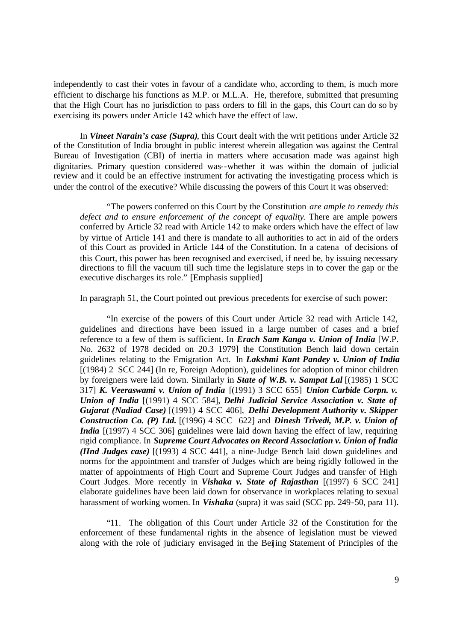independently to cast their votes in favour of a candidate who, according to them, is much more efficient to discharge his functions as M.P. or M.L.A. He, therefore, submitted that presuming that the High Court has no jurisdiction to pass orders to fill in the gaps, this Court can do so by exercising its powers under Article 142 which have the effect of law.

In *Vineet Narain's case (Supra)*, this Court dealt with the writ petitions under Article 32 of the Constitution of India brought in public interest wherein allegation was against the Central Bureau of Investigation (CBI) of inertia in matters where accusation made was against high dignitaries. Primary question considered was--whether it was within the domain of judicial review and it could be an effective instrument for activating the investigating process which is under the control of the executive? While discussing the powers of this Court it was observed:

"The powers conferred on this Court by the Constitution *are ample to remedy this defect and to ensure enforcement of the concept of equality*. There are ample powers conferred by Article 32 read with Article 142 to make orders which have the effect of law by virtue of Article 141 and there is mandate to all authorities to act in aid of the orders of this Court as provided in Article 144 of the Constitution. In a catena of decisions of this Court, this power has been recognised and exercised, if need be, by issuing necessary directions to fill the vacuum till such time the legislature steps in to cover the gap or the executive discharges its role." [Emphasis supplied]

In paragraph 51, the Court pointed out previous precedents for exercise of such power:

"In exercise of the powers of this Court under Article 32 read with Article 142, guidelines and directions have been issued in a large number of cases and a brief reference to a few of them is sufficient. In *Erach Sam Kanga v. Union of India* [W.P. No. 2632 of 1978 decided on 20.3 1979] the Constitution Bench laid down certain guidelines relating to the Emigration Act. In *Lakshmi Kant Pandey v. Union of India* [(1984) 2 SCC 244] (In re, Foreign Adoption), guidelines for adoption of minor children by foreigners were laid down. Similarly in *State of W.B. v. Sampat Lal* [(1985) 1 SCC 317] *K. Veeraswami v. Union of India* [(1991) 3 SCC 655] *Union Carbide Corpn. v. Union of India* [(1991) 4 SCC 584], *Delhi Judicial Service Association v. State of Gujarat (Nadiad Case)* [(1991) 4 SCC 406], *Delhi Development Authority v. Skipper Construction Co. (P) Ltd.* [(1996) 4 SCC 622] and *Dinesh Trivedi, M.P. v. Union of India* [(1997) 4 SCC 306] guidelines were laid down having the effect of law, requiring rigid compliance. In *Supreme Court Advocates on Record Association v. Union of India (IInd Judges case)* [(1993) 4 SCC 441], a nine-Judge Bench laid down guidelines and norms for the appointment and transfer of Judges which are being rigidly followed in the matter of appointments of High Court and Supreme Court Judges and transfer of High Court Judges. More recently in *Vishaka v. State of Rajasthan* [(1997) 6 SCC 241] elaborate guidelines have been laid down for observance in workplaces relating to sexual harassment of working women. In *Vishaka* (supra) it was said (SCC pp. 249-50, para 11).

"11. The obligation of this Court under Article 32 of the Constitution for the enforcement of these fundamental rights in the absence of legislation must be viewed along with the role of judiciary envisaged in the Beijing Statement of Principles of the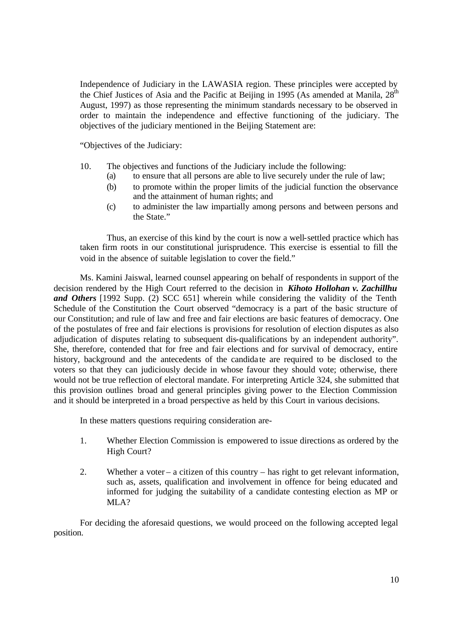Independence of Judiciary in the LAWASIA region. These principles were accepted by the Chief Justices of Asia and the Pacific at Beijing in 1995 (As amended at Manila,  $28<sup>th</sup>$ August, 1997) as those representing the minimum standards necessary to be observed in order to maintain the independence and effective functioning of the judiciary. The objectives of the judiciary mentioned in the Beijing Statement are:

"Objectives of the Judiciary:

- 10. The objectives and functions of the Judiciary include the following:
	- (a) to ensure that all persons are able to live securely under the rule of law;
	- (b) to promote within the proper limits of the judicial function the observance and the attainment of human rights; and
	- (c) to administer the law impartially among persons and between persons and the State."

Thus, an exercise of this kind by the court is now a well-settled practice which has taken firm roots in our constitutional jurisprudence. This exercise is essential to fill the void in the absence of suitable legislation to cover the field."

Ms. Kamini Jaiswal, learned counsel appearing on behalf of respondents in support of the decision rendered by the High Court referred to the decision in *Kihoto Hollohan v. Zachillhu and Others* [1992 Supp. (2) SCC 651] wherein while considering the validity of the Tenth Schedule of the Constitution the Court observed "democracy is a part of the basic structure of our Constitution; and rule of law and free and fair elections are basic features of democracy. One of the postulates of free and fair elections is provisions for resolution of election disputes as also adjudication of disputes relating to subsequent dis-qualifications by an independent authority". She, therefore, contended that for free and fair elections and for survival of democracy, entire history, background and the antecedents of the candida te are required to be disclosed to the voters so that they can judiciously decide in whose favour they should vote; otherwise, there would not be true reflection of electoral mandate. For interpreting Article 324, she submitted that this provision outlines broad and general principles giving power to the Election Commission and it should be interpreted in a broad perspective as held by this Court in various decisions.

In these matters questions requiring consideration are-

- 1. Whether Election Commission is empowered to issue directions as ordered by the High Court?
- 2. Whether a voter a citizen of this country has right to get relevant information, such as, assets, qualification and involvement in offence for being educated and informed for judging the suitability of a candidate contesting election as MP or MLA?

For deciding the aforesaid questions, we would proceed on the following accepted legal position.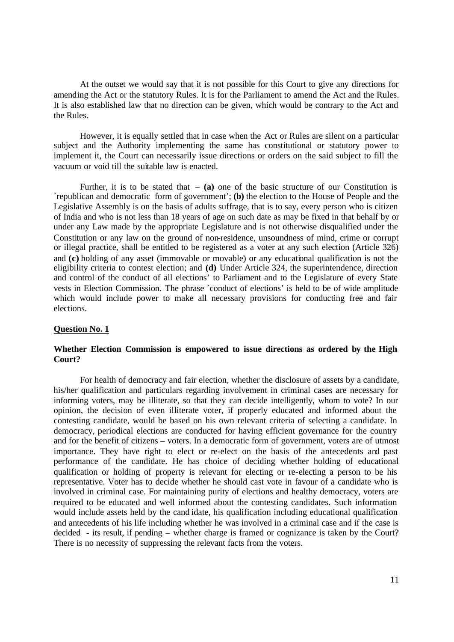At the outset we would say that it is not possible for this Court to give any directions for amending the Act or the statutory Rules. It is for the Parliament to amend the Act and the Rules. It is also established law that no direction can be given, which would be contrary to the Act and the Rules.

However, it is equally settled that in case when the Act or Rules are silent on a particular subject and the Authority implementing the same has constitutional or statutory power to implement it, the Court can necessarily issue directions or orders on the said subject to fill the vacuum or void till the suitable law is enacted.

Further, it is to be stated that  $-$  (a) one of the basic structure of our Constitution is `republican and democratic form of government'; **(b)** the election to the House of People and the Legislative Assembly is on the basis of adults suffrage, that is to say, every person who is citizen of India and who is not less than 18 years of age on such date as may be fixed in that behalf by or under any Law made by the appropriate Legislature and is not otherwise disqualified under the Constitution or any law on the ground of non-residence, unsoundness of mind, crime or corrupt or illegal practice, shall be entitled to be registered as a voter at any such election (Article 326) and **(c)** holding of any asset (immovable or movable) or any educational qualification is not the eligibility criteria to contest election; and **(d)** Under Article 324, the superintendence, direction and control of the conduct of all elections' to Parliament and to the Legislature of every State vests in Election Commission. The phrase `conduct of elections' is held to be of wide amplitude which would include power to make all necessary provisions for conducting free and fair elections.

#### **Question No. 1**

### **Whether Election Commission is empowered to issue directions as ordered by the High Court?**

For health of democracy and fair election, whether the disclosure of assets by a candidate, his/her qualification and particulars regarding involvement in criminal cases are necessary for informing voters, may be illiterate, so that they can decide intelligently, whom to vote? In our opinion, the decision of even illiterate voter, if properly educated and informed about the contesting candidate, would be based on his own relevant criteria of selecting a candidate. In democracy, periodical elections are conducted for having efficient governance for the country and for the benefit of citizens – voters. In a democratic form of government, voters are of utmost importance. They have right to elect or re-elect on the basis of the antecedents and past performance of the candidate. He has choice of deciding whether holding of educational qualification or holding of property is relevant for electing or re-electing a person to be his representative. Voter has to decide whether he should cast vote in favour of a candidate who is involved in criminal case. For maintaining purity of elections and healthy democracy, voters are required to be educated and well informed about the contesting candidates. Such information would include assets held by the cand idate, his qualification including educational qualification and antecedents of his life including whether he was involved in a criminal case and if the case is decided - its result, if pending – whether charge is framed or cognizance is taken by the Court? There is no necessity of suppressing the relevant facts from the voters.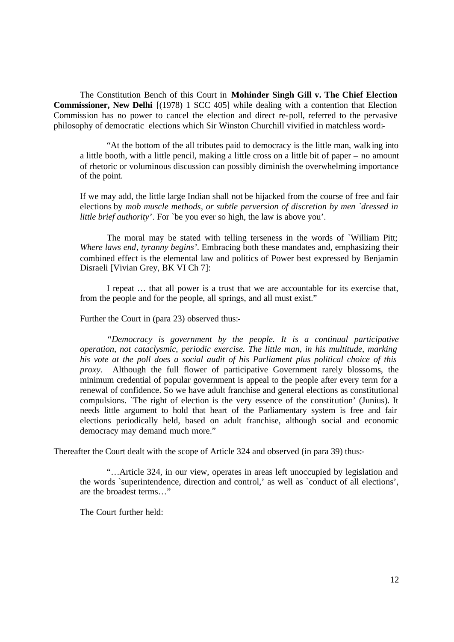The Constitution Bench of this Court in **Mohinder Singh Gill v. The Chief Election Commissioner, New Delhi** [(1978) 1 SCC 405] while dealing with a contention that Election Commission has no power to cancel the election and direct re-poll, referred to the pervasive philosophy of democratic elections which Sir Winston Churchill vivified in matchless word:-

"At the bottom of the all tributes paid to democracy is the little man, walking into a little booth, with a little pencil, making a little cross on a little bit of paper – no amount of rhetoric or voluminous discussion can possibly diminish the overwhelming importance of the point.

If we may add, the little large Indian shall not be hijacked from the course of free and fair elections by *mob muscle methods, or subtle perversion of discretion by men `dressed in little brief authority'*. For `be you ever so high, the law is above you'.

The moral may be stated with telling terseness in the words of `William Pitt; *Where laws end, tyranny begins'*. Embracing both these mandates and, emphasizing their combined effect is the elemental law and politics of Power best expressed by Benjamin Disraeli [Vivian Grey, BK VI Ch 7]:

I repeat … that all power is a trust that we are accountable for its exercise that, from the people and for the people, all springs, and all must exist."

Further the Court in (para 23) observed thus:-

*"Democracy is government by the people. It is a continual participative operation, not cataclysmic, periodic exercise. The little man, in his multitude, marking his vote at the poll does a social audit of his Parliament plus political choice of this proxy.* Although the full flower of participative Government rarely blossoms, the minimum credential of popular government is appeal to the people after every term for a renewal of confidence. So we have adult franchise and general elections as constitutional compulsions. `The right of election is the very essence of the constitution' (Junius). It needs little argument to hold that heart of the Parliamentary system is free and fair elections periodically held, based on adult franchise, although social and economic democracy may demand much more."

Thereafter the Court dealt with the scope of Article 324 and observed (in para 39) thus:-

"…Article 324, in our view, operates in areas left unoccupied by legislation and the words `superintendence, direction and control,' as well as `conduct of all elections', are the broadest terms…"

The Court further held: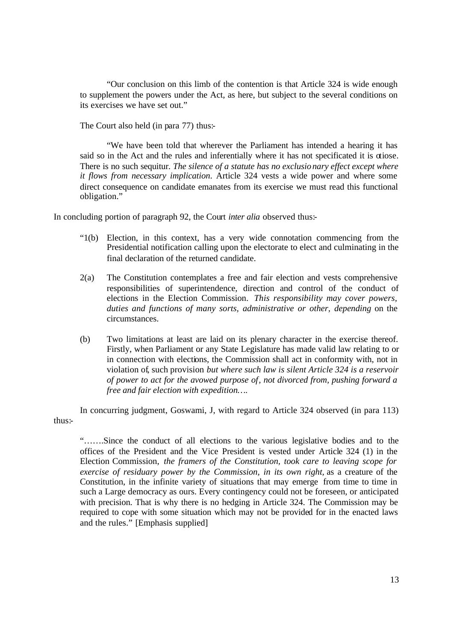"Our conclusion on this limb of the contention is that Article 324 is wide enough to supplement the powers under the Act, as here, but subject to the several conditions on its exercises we have set out."

The Court also held (in para 77) thus:-

"We have been told that wherever the Parliament has intended a hearing it has said so in the Act and the rules and inferentially where it has not specificated it is otiose. There is no such sequitur. *The silence of a statute has no exclusio nary effect except where it flows from necessary implication*. Article 324 vests a wide power and where some direct consequence on candidate emanates from its exercise we must read this functional obligation."

In concluding portion of paragraph 92, the Court *inter alia* observed thus:-

- "1(b) Election, in this context, has a very wide connotation commencing from the Presidential notification calling upon the electorate to elect and culminating in the final declaration of the returned candidate.
- 2(a) The Constitution contemplates a free and fair election and vests comprehensive responsibilities of superintendence, direction and control of the conduct of elections in the Election Commission. *This responsibility may cover powers, duties and functions of many sorts, administrative or other, depending* on the circumstances.
- (b) Two limitations at least are laid on its plenary character in the exercise thereof. Firstly, when Parliament or any State Legislature has made valid law relating to or in connection with elections, the Commission shall act in conformity with, not in violation of, such provision *but where such law is silent Article 324 is a reservoir of power to act for the avowed purpose of, not divorced from, pushing forward a free and fair election with expedition….*

In concurring judgment, Goswami, J, with regard to Article 324 observed (in para 113) thus:-

"…….Since the conduct of all elections to the various legislative bodies and to the offices of the President and the Vice President is vested under Article 324 (1) in the Election Commission, *the framers of the Constitution, took care to leaving scope for exercise of residuary power by the Commission, in its own right,* as a creature of the Constitution, in the infinite variety of situations that may emerge from time to time in such a Large democracy as ours. Every contingency could not be foreseen, or anticipated with precision. That is why there is no hedging in Article 324. The Commission may be required to cope with some situation which may not be provided for in the enacted laws and the rules." [Emphasis supplied]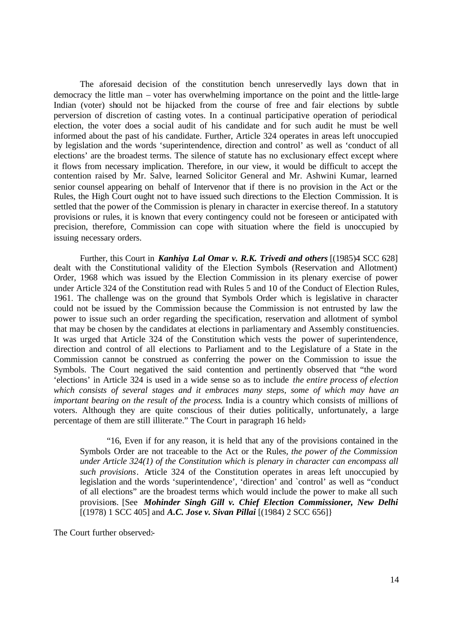The aforesaid decision of the constitution bench unreservedly lays down that in democracy the little man – voter has overwhelming importance on the point and the little-large Indian (voter) should not be hijacked from the course of free and fair elections by subtle perversion of discretion of casting votes. In a continual participative operation of periodical election, the voter does a social audit of his candidate and for such audit he must be well informed about the past of his candidate. Further, Article 324 operates in areas left unoccupied by legislation and the words 'superintendence, direction and control' as well as 'conduct of all elections' are the broadest terms. The silence of statute has no exclusionary effect except where it flows from necessary implication. Therefore, in our view, it would be difficult to accept the contention raised by Mr. Salve, learned Solicitor General and Mr. Ashwini Kumar, learned senior counsel appearing on behalf of Intervenor that if there is no provision in the Act or the Rules, the High Court ought not to have issued such directions to the Election Commission. It is settled that the power of the Commission is plenary in character in exercise thereof. In a statutory provisions or rules, it is known that every contingency could not be foreseen or anticipated with precision, therefore, Commission can cope with situation where the field is unoccupied by issuing necessary orders.

Further, this Court in *Kanhiya Lal Omar v. R.K. Trivedi and others* [(1985)4 SCC 628] dealt with the Constitutional validity of the Election Symbols (Reservation and Allotment) Order, 1968 which was issued by the Election Commission in its plenary exercise of power under Article 324 of the Constitution read with Rules 5 and 10 of the Conduct of Election Rules, 1961. The challenge was on the ground that Symbols Order which is legislative in character could not be issued by the Commission because the Commission is not entrusted by law the power to issue such an order regarding the specification, reservation and allotment of symbol that may be chosen by the candidates at elections in parliamentary and Assembly constituencies. It was urged that Article 324 of the Constitution which vests the power of superintendence, direction and control of all elections to Parliament and to the Legislature of a State in the Commission cannot be construed as conferring the power on the Commission to issue the Symbols. The Court negatived the said contention and pertinently observed that "the word 'elections' in Article 324 is used in a wide sense so as to include *the entire process of election which consists of several stages and it embraces many steps, some of which may have an important bearing on the result of the process*. India is a country which consists of millions of voters. Although they are quite conscious of their duties politically, unfortunately, a large percentage of them are still illiterate." The Court in paragraph 16 held:-

"16, Even if for any reason, it is held that any of the provisions contained in the Symbols Order are not traceable to the Act or the Rules*, the power of the Commission under Article 324(1) of the Constitution which is plenary in character can encompass all such provisions*. Article 324 of the Constitution operates in areas left unoccupied by legislation and the words 'superintendence', 'direction' and `control' as well as "conduct of all elections" are the broadest terms which would include the power to make all such provisions. [See *Mohinder Singh Gill v. Chief Election Commissioner, New Delhi* [(1978) 1 SCC 405] and *A.C. Jose v. Sivan Pillai* [(1984) 2 SCC 656]}

The Court further observed:-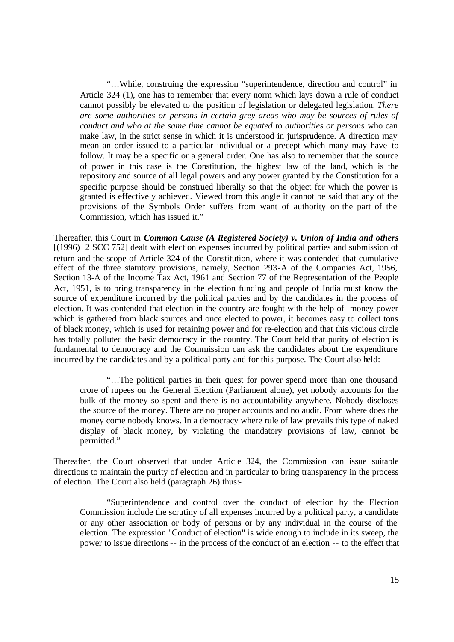"…While, construing the expression "superintendence, direction and control" in Article 324 (1), one has to remember that every norm which lays down a rule of conduct cannot possibly be elevated to the position of legislation or delegated legislation. *There*  are some authorities or persons in certain grey areas who may be sources of rules of *conduct and who at the same time cannot be equated to authorities or persons* who can make law, in the strict sense in which it is understood in jurisprudence. A direction may mean an order issued to a particular individual or a precept which many may have to follow. It may be a specific or a general order. One has also to remember that the source of power in this case is the Constitution, the highest law of the land, which is the repository and source of all legal powers and any power granted by the Constitution for a specific purpose should be construed liberally so that the object for which the power is granted is effectively achieved. Viewed from this angle it cannot be said that any of the provisions of the Symbols Order suffers from want of authority on the part of the Commission, which has issued it."

Thereafter, this Court in *Common Cause (A Registered Society) v. Union of India and others* [(1996) 2 SCC 752] dealt with election expenses incurred by political parties and submission of return and the scope of Article 324 of the Constitution, where it was contended that cumulative effect of the three statutory provisions, namely, Section 293-A of the Companies Act, 1956, Section 13-A of the Income Tax Act, 1961 and Section 77 of the Representation of the People Act, 1951, is to bring transparency in the election funding and people of India must know the source of expenditure incurred by the political parties and by the candidates in the process of election. It was contended that election in the country are fought with the help of money power which is gathered from black sources and once elected to power, it becomes easy to collect tons of black money, which is used for retaining power and for re-election and that this vicious circle has totally polluted the basic democracy in the country. The Court held that purity of election is fundamental to democracy and the Commission can ask the candidates about the expenditure incurred by the candidates and by a political party and for this purpose. The Court also held:-

"…The political parties in their quest for power spend more than one thousand crore of rupees on the General Election (Parliament alone), yet nobody accounts for the bulk of the money so spent and there is no accountability anywhere. Nobody discloses the source of the money. There are no proper accounts and no audit. From where does the money come nobody knows. In a democracy where rule of law prevails this type of naked display of black money, by violating the mandatory provisions of law, cannot be permitted."

Thereafter, the Court observed that under Article 324, the Commission can issue suitable directions to maintain the purity of election and in particular to bring transparency in the process of election. The Court also held (paragraph 26) thus:-

"Superintendence and control over the conduct of election by the Election Commission include the scrutiny of all expenses incurred by a political party, a candidate or any other association or body of persons or by any individual in the course of the election. The expression "Conduct of election" is wide enough to include in its sweep, the power to issue directions-- in the process of the conduct of an election -- to the effect that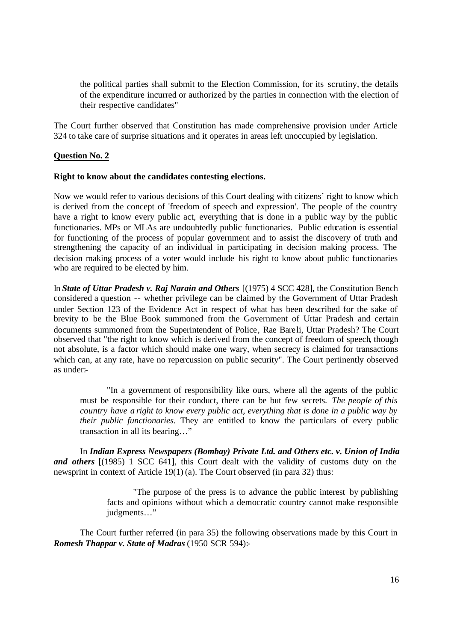the political parties shall submit to the Election Commission, for its scrutiny, the details of the expenditure incurred or authorized by the parties in connection with the election of their respective candidates"

The Court further observed that Constitution has made comprehensive provision under Article 324 to take care of surprise situations and it operates in areas left unoccupied by legislation.

### **Question No. 2**

### **Right to know about the candidates contesting elections.**

Now we would refer to various decisions of this Court dealing with citizens' right to know which is derived from the concept of 'freedom of speech and expression'. The people of the country have a right to know every public act, everything that is done in a public way by the public functionaries. MPs or MLAs are undoubtedly public functionaries. Public education is essential for functioning of the process of popular government and to assist the discovery of truth and strengthening the capacity of an individual in participating in decision making process. The decision making process of a voter would include his right to know about public functionaries who are required to be elected by him.

In *State of Uttar Pradesh v. Raj Narain and Others* [(1975) 4 SCC 428], the Constitution Bench considered a question -- whether privilege can be claimed by the Government of Uttar Pradesh under Section 123 of the Evidence Act in respect of what has been described for the sake of brevity to be the Blue Book summoned from the Government of Uttar Pradesh and certain documents summoned from the Superintendent of Police, Rae Bareli, Uttar Pradesh? The Court observed that "the right to know which is derived from the concept of freedom of speech, though not absolute, is a factor which should make one wary, when secrecy is claimed for transactions which can, at any rate, have no repercussion on public security". The Court pertinently observed as under:-

"In a government of responsibility like ours, where all the agents of the public must be responsible for their conduct, there can be but few secrets. *The people of this country have a right to know every public act, everything that is done in a public way by their public functionaries*. They are entitled to know the particulars of every public transaction in all its bearing…"

In *Indian Express Newspapers (Bombay) Private Ltd. and Others etc. v. Union of India* and others  $[(1985)$  1 SCC 641], this Court dealt with the validity of customs duty on the newsprint in context of Article 19(1) (a). The Court observed (in para 32) thus:

> "The purpose of the press is to advance the public interest by publishing facts and opinions without which a democratic country cannot make responsible judgments…"

The Court further referred (in para 35) the following observations made by this Court in *Romesh Thappar v. State of Madras* (1950 SCR 594):-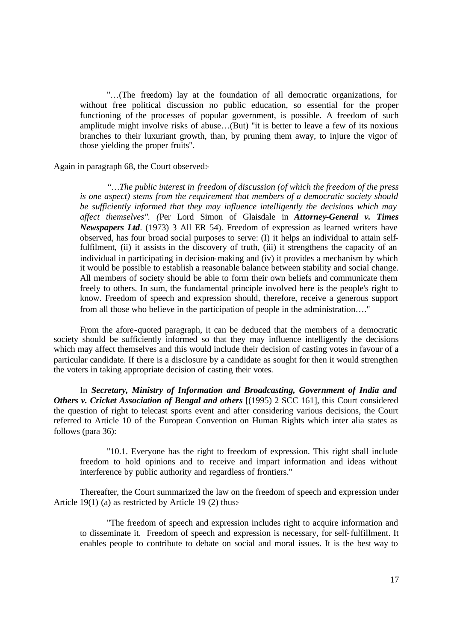"…(The freedom) lay at the foundation of all democratic organizations, for without free political discussion no public education, so essential for the proper functioning of the processes of popular government, is possible. A freedom of such amplitude might involve risks of abuse…(But) "it is better to leave a few of its noxious branches to their luxuriant growth, than, by pruning them away, to injure the vigor of those yielding the proper fruits".

Again in paragraph 68, the Court observed:-

*"…The public interest in freedom of discussion (of which the freedom of the press is one aspect) stems from the requirement that members of a democratic society should be sufficiently informed that they may influence intelligently the decisions which may affect themselves". (*Per Lord Simon of Glaisdale in *Attorney-General v. Times Newspapers Ltd*. (1973) 3 All ER 54). Freedom of expression as learned writers have observed, has four broad social purposes to serve: (I) it helps an individual to attain selffulfilment, (ii) it assists in the discovery of truth, (iii) it strengthens the capacity of an individual in participating in decision-making and (iv) it provides a mechanism by which it would be possible to establish a reasonable balance between stability and social change. All members of society should be able to form their own beliefs and communicate them freely to others. In sum, the fundamental principle involved here is the people's right to know. Freedom of speech and expression should, therefore, receive a generous support from all those who believe in the participation of people in the administration…."

From the afore-quoted paragraph, it can be deduced that the members of a democratic society should be sufficiently informed so that they may influence intelligently the decisions which may affect themselves and this would include their decision of casting votes in favour of a particular candidate. If there is a disclosure by a candidate as sought for then it would strengthen the voters in taking appropriate decision of casting their votes.

In *Secretary, Ministry of Information and Broadcasting, Government of India and Others v. Cricket Association of Bengal and others* [(1995) 2 SCC 161], this Court considered the question of right to telecast sports event and after considering various decisions, the Court referred to Article 10 of the European Convention on Human Rights which inter alia states as follows (para 36):

"10.1. Everyone has the right to freedom of expression. This right shall include freedom to hold opinions and to receive and impart information and ideas without interference by public authority and regardless of frontiers."

Thereafter, the Court summarized the law on the freedom of speech and expression under Article 19(1) (a) as restricted by Article 19 (2) thus:-

"The freedom of speech and expression includes right to acquire information and to disseminate it. Freedom of speech and expression is necessary, for self-fulfillment. It enables people to contribute to debate on social and moral issues. It is the best way to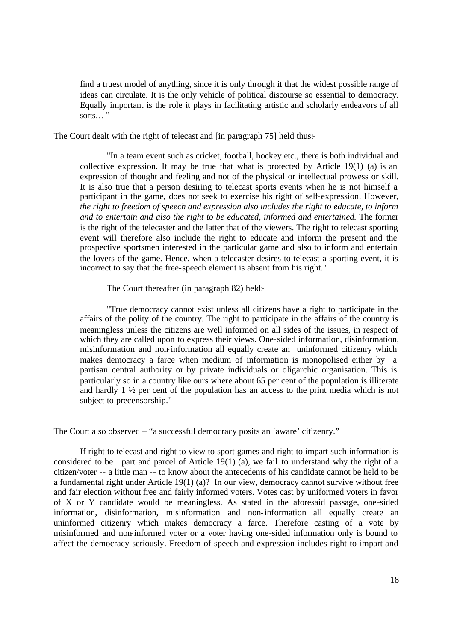find a truest model of anything, since it is only through it that the widest possible range of ideas can circulate. It is the only vehicle of political discourse so essential to democracy. Equally important is the role it plays in facilitating artistic and scholarly endeavors of all sorts…"

The Court dealt with the right of telecast and [in paragraph 75] held thus:-

"In a team event such as cricket, football, hockey etc., there is both individual and collective expression. It may be true that what is protected by Article 19(1) (a) is an expression of thought and feeling and not of the physical or intellectual prowess or skill. It is also true that a person desiring to telecast sports events when he is not himself a participant in the game, does not seek to exercise his right of self-expression. However, *the right to freedom of speech and expression also includes the right to educate, to inform and to entertain and also the right to be educated, informed and entertained.* The former is the right of the telecaster and the latter that of the viewers. The right to telecast sporting event will therefore also include the right to educate and inform the present and the prospective sportsmen interested in the particular game and also to inform and entertain the lovers of the game. Hence, when a telecaster desires to telecast a sporting event, it is incorrect to say that the free-speech element is absent from his right."

The Court thereafter (in paragraph 82) held:

"True democracy cannot exist unless all citizens have a right to participate in the affairs of the polity of the country. The right to participate in the affairs of the country is meaningless unless the citizens are well informed on all sides of the issues, in respect of which they are called upon to express their views. One-sided information, disinformation, misinformation and non-information all equally create an uninformed citizenry which makes democracy a farce when medium of information is monopolised either by a partisan central authority or by private individuals or oligarchic organisation. This is particularly so in a country like ours where about 65 per cent of the population is illiterate and hardly 1 ½ per cent of the population has an access to the print media which is not subject to precensorship."

The Court also observed – "a successful democracy posits an `aware' citizenry."

If right to telecast and right to view to sport games and right to impart such information is considered to be part and parcel of Article 19(1) (a), we fail to understand why the right of a citizen/voter -- a little man -- to know about the antecedents of his candidate cannot be held to be a fundamental right under Article 19(1) (a)? In our view, democracy cannot survive without free and fair election without free and fairly informed voters. Votes cast by uniformed voters in favor of X or Y candidate would be meaningless. As stated in the aforesaid passage, one-sided information, disinformation, misinformation and non-information all equally create an uninformed citizenry which makes democracy a farce. Therefore casting of a vote by misinformed and non-informed voter or a voter having one-sided information only is bound to affect the democracy seriously. Freedom of speech and expression includes right to impart and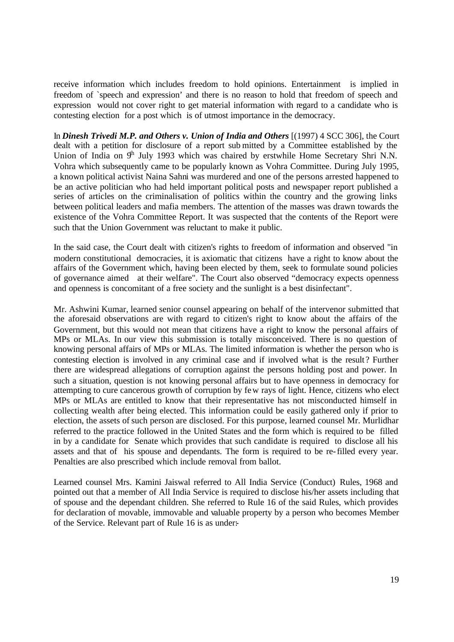receive information which includes freedom to hold opinions. Entertainment is implied in freedom of `speech and expression' and there is no reason to hold that freedom of speech and expression would not cover right to get material information with regard to a candidate who is contesting election for a post which is of utmost importance in the democracy.

In *Dinesh Trivedi M.P. and Others v. Union of India and Others* [(1997) 4 SCC 306], the Court dealt with a petition for disclosure of a report sub mitted by a Committee established by the Union of India on  $9<sup>h</sup>$  July 1993 which was chaired by erstwhile Home Secretary Shri N.N. Vohra which subsequently came to be popularly known as Vohra Committee. During July 1995, a known political activist Naina Sahni was murdered and one of the persons arrested happened to be an active politician who had held important political posts and newspaper report published a series of articles on the criminalisation of politics within the country and the growing links between political leaders and mafia members. The attention of the masses was drawn towards the existence of the Vohra Committee Report. It was suspected that the contents of the Report were such that the Union Government was reluctant to make it public.

In the said case, the Court dealt with citizen's rights to freedom of information and observed "in modern constitutional democracies, it is axiomatic that citizens have a right to know about the affairs of the Government which, having been elected by them, seek to formulate sound policies of governance aimed at their welfare". The Court also observed "democracy expects openness and openness is concomitant of a free society and the sunlight is a best disinfectant".

Mr. Ashwini Kumar, learned senior counsel appearing on behalf of the intervenor submitted that the aforesaid observations are with regard to citizen's right to know about the affairs of the Government, but this would not mean that citizens have a right to know the personal affairs of MPs or MLAs. In our view this submission is totally misconceived. There is no question of knowing personal affairs of MPs or MLAs. The limited information is whether the person who is contesting election is involved in any criminal case and if involved what is the result ? Further there are widespread allegations of corruption against the persons holding post and power. In such a situation, question is not knowing personal affairs but to have openness in democracy for attempting to cure cancerous growth of corruption by few rays of light. Hence, citizens who elect MPs or MLAs are entitled to know that their representative has not misconducted himself in collecting wealth after being elected. This information could be easily gathered only if prior to election, the assets of such person are disclosed. For this purpose, learned counsel Mr. Murlidhar referred to the practice followed in the United States and the form which is required to be filled in by a candidate for Senate which provides that such candidate is required to disclose all his assets and that of his spouse and dependants. The form is required to be re-filled every year. Penalties are also prescribed which include removal from ballot.

Learned counsel Mrs. Kamini Jaiswal referred to All India Service (Conduct) Rules, 1968 and pointed out that a member of All India Service is required to disclose his/her assets including that of spouse and the dependant children. She referred to Rule 16 of the said Rules, which provides for declaration of movable, immovable and valuable property by a person who becomes Member of the Service. Relevant part of Rule 16 is as under:-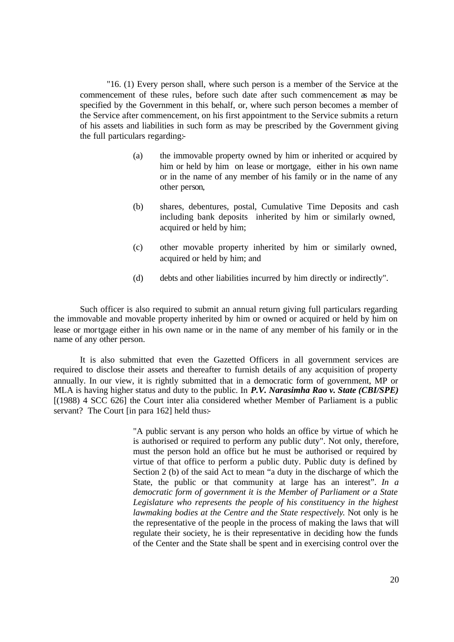"16. (1) Every person shall, where such person is a member of the Service at the commencement of these rules, before such date after such commencement as may be specified by the Government in this behalf, or, where such person becomes a member of the Service after commencement, on his first appointment to the Service submits a return of his assets and liabilities in such form as may be prescribed by the Government giving the full particulars regarding:-

- (a) the immovable property owned by him or inherited or acquired by him or held by him on lease or mortgage, either in his own name or in the name of any member of his family or in the name of any other person,
- (b) shares, debentures, postal, Cumulative Time Deposits and cash including bank deposits inherited by him or similarly owned, acquired or held by him;
- (c) other movable property inherited by him or similarly owned, acquired or held by him; and
- (d) debts and other liabilities incurred by him directly or indirectly".

Such officer is also required to submit an annual return giving full particulars regarding the immovable and movable property inherited by him or owned or acquired or held by him on lease or mortgage either in his own name or in the name of any member of his family or in the name of any other person.

It is also submitted that even the Gazetted Officers in all government services are required to disclose their assets and thereafter to furnish details of any acquisition of property annually. In our view, it is rightly submitted that in a democratic form of government, MP or MLA is having higher status and duty to the public. In *P.V. Narasimha Rao v. State (CBI/SPE)* [(1988) 4 SCC 626] the Court inter alia considered whether Member of Parliament is a public servant? The Court [in para 162] held thus:-

> "A public servant is any person who holds an office by virtue of which he is authorised or required to perform any public duty". Not only, therefore, must the person hold an office but he must be authorised or required by virtue of that office to perform a public duty. Public duty is defined by Section 2 (b) of the said Act to mean "a duty in the discharge of which the State, the public or that community at large has an interest". *In a democratic form of government it is the Member of Parliament or a State Legislature who represents the people of his constituency in the highest lawmaking bodies at the Centre and the State respectively*. Not only is he the representative of the people in the process of making the laws that will regulate their society, he is their representative in deciding how the funds of the Center and the State shall be spent and in exercising control over the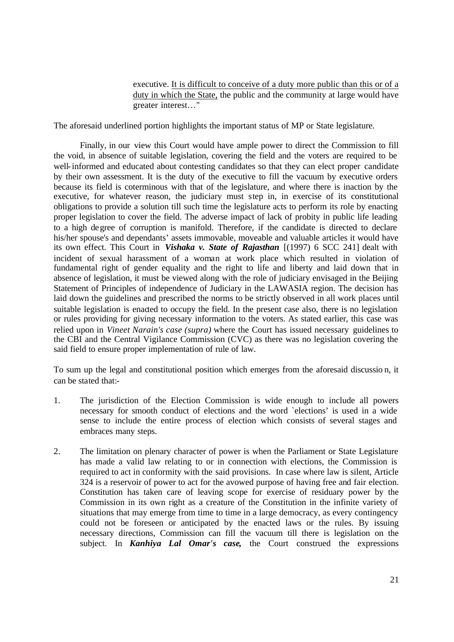executive. It is difficult to conceive of a duty more public than this or of a duty in which the State, the public and the community at large would have greater interest…"

The aforesaid underlined portion highlights the important status of MP or State legislature.

Finally, in our view this Court would have ample power to direct the Commission to fill the void, in absence of suitable legislation, covering the field and the voters are required to be well-informed and educated about contesting candidates so that they can elect proper candidate by their own assessment. It is the duty of the executive to fill the vacuum by executive orders because its field is coterminous with that of the legislature, and where there is inaction by the executive, for whatever reason, the judiciary must step in, in exercise of its constitutional obligations to provide a solution till such time the legislature acts to perform its role by enacting proper legislation to cover the field. The adverse impact of lack of probity in public life leading to a high degree of corruption is manifold. Therefore, if the candidate is directed to declare his/her spouse's and dependants' assets immovable, moveable and valuable articles it would have its own effect. This Court in *Vishaka v. State of Rajasthan* [(1997) 6 SCC 241] dealt with incident of sexual harassment of a woman at work place which resulted in violation of fundamental right of gender equality and the right to life and liberty and laid down that in absence of legislation, it must be viewed along with the role of judiciary envisaged in the Beijing Statement of Principles of independence of Judiciary in the LAWASIA region. The decision has laid down the guidelines and prescribed the norms to be strictly observed in all work places until suitable legislation is enacted to occupy the field. In the present case also, there is no legislation or rules providing for giving necessary information to the voters. As stated earlier, this case was relied upon in *Vineet Narain's case (supra)* where the Court has issued necessary guidelines to the CBI and the Central Vigilance Commission (CVC) as there was no legislation covering the said field to ensure proper implementation of rule of law.

To sum up the legal and constitutional position which emerges from the aforesaid discussio n, it can be stated that:-

- 1. The jurisdiction of the Election Commission is wide enough to include all powers necessary for smooth conduct of elections and the word `elections' is used in a wide sense to include the entire process of election which consists of several stages and embraces many steps.
- 2. The limitation on plenary character of power is when the Parliament or State Legislature has made a valid law relating to or in connection with elections, the Commission is required to act in conformity with the said provisions. In case where law is silent, Article 324 is a reservoir of power to act for the avowed purpose of having free and fair election. Constitution has taken care of leaving scope for exercise of residuary power by the Commission in its own right as a creature of the Constitution in the infinite variety of situations that may emerge from time to time in a large democracy, as every contingency could not be foreseen or anticipated by the enacted laws or the rules. By issuing necessary directions, Commission can fill the vacuum till there is legislation on the subject. In *Kanhiya Lal Omar's case,* the Court construed the expressions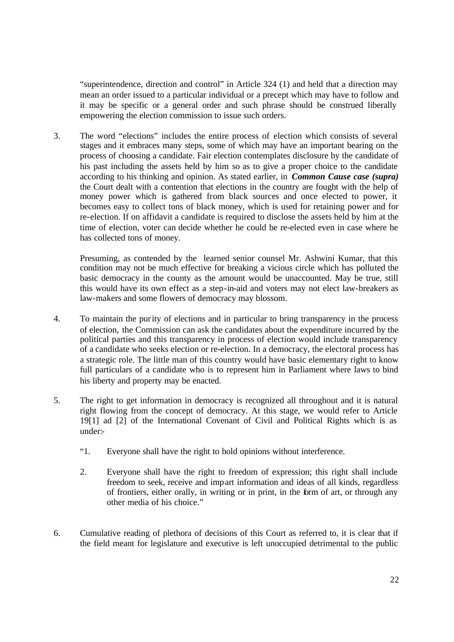"superintendence, direction and control" in Article 324 (1) and held that a direction may mean an order issued to a particular individual or a precept which may have to follow and it may be specific or a general order and such phrase should be construed liberally empowering the election commission to issue such orders.

3. The word "elections" includes the entire process of election which consists of several stages and it embraces many steps, some of which may have an important bearing on the process of choosing a candidate. Fair election contemplates disclosure by the candidate of his past including the assets held by him so as to give a proper choice to the candidate according to his thinking and opinion. As stated earlier, in *Common Cause case (supra)* the Court dealt with a contention that elections in the country are fought with the help of money power which is gathered from black sources and once elected to power, it becomes easy to collect tons of black money, which is used for retaining power and for re-election. If on affidavit a candidate is required to disclose the assets held by him at the time of election, voter can decide whether he could be re-elected even in case where he has collected tons of money.

Presuming, as contended by the learned senior counsel Mr. Ashwini Kumar, that this condition may not be much effective for breaking a vicious circle which has polluted the basic democracy in the county as the amount would be unaccounted. May be true, still this would have its own effect as a step-in-aid and voters may not elect law-breakers as law-makers and some flowers of democracy may blossom.

- 4. To maintain the purity of elections and in particular to bring transparency in the process of election, the Commission can ask the candidates about the expenditure incurred by the political parties and this transparency in process of election would include transparency of a candidate who seeks election or re-election. In a democracy, the electoral process has a strategic role. The little man of this country would have basic elementary right to know full particulars of a candidate who is to represent him in Parliament where laws to bind his liberty and property may be enacted.
- 5. The right to get information in democracy is recognized all throughout and it is natural right flowing from the concept of democracy. At this stage, we would refer to Article 19[1] ad [2] of the International Covenant of Civil and Political Rights which is as under:-
	- "1. Everyone shall have the right to hold opinions without interference.
	- 2. Everyone shall have the right to freedom of expression; this right shall include freedom to seek, receive and impart information and ideas of all kinds, regardless of frontiers, either orally, in writing or in print, in the form of art, or through any other media of his choice."
- 6. Cumulative reading of plethora of decisions of this Court as referred to, it is clear that if the field meant for legislature and executive is left unoccupied detrimental to the public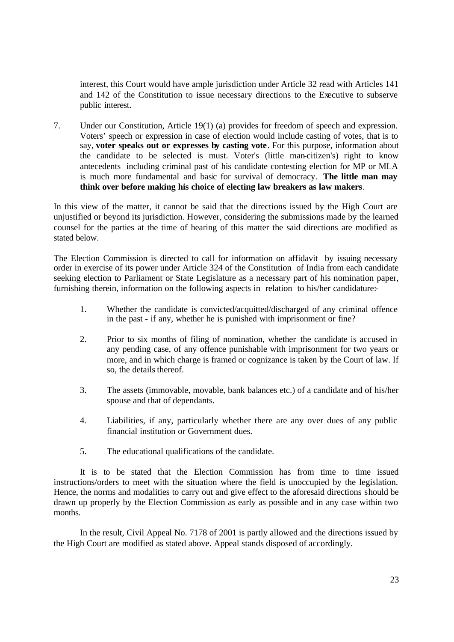interest, this Court would have ample jurisdiction under Article 32 read with Articles 141 and 142 of the Constitution to issue necessary directions to the Executive to subserve public interest.

7. Under our Constitution, Article 19(1) (a) provides for freedom of speech and expression. Voters' speech or expression in case of election would include casting of votes, that is to say, **voter speaks out or expresses by casting vote**. For this purpose, information about the candidate to be selected is must. Voter's (little man-citizen's) right to know antecedents including criminal past of his candidate contesting election for MP or MLA is much more fundamental and basic for survival of democracy. **The little man may think over before making his choice of electing law breakers as law makers**.

In this view of the matter, it cannot be said that the directions issued by the High Court are unjustified or beyond its jurisdiction. However, considering the submissions made by the learned counsel for the parties at the time of hearing of this matter the said directions are modified as stated below.

The Election Commission is directed to call for information on affidavit by issuing necessary order in exercise of its power under Article 324 of the Constitution of India from each candidate seeking election to Parliament or State Legislature as a necessary part of his nomination paper, furnishing therein, information on the following aspects in relation to his/her candidature:-

- 1. Whether the candidate is convicted/acquitted/discharged of any criminal offence in the past - if any, whether he is punished with imprisonment or fine?
- 2. Prior to six months of filing of nomination, whether the candidate is accused in any pending case, of any offence punishable with imprisonment for two years or more, and in which charge is framed or cognizance is taken by the Court of law. If so, the details thereof.
- 3. The assets (immovable, movable, bank balances etc.) of a candidate and of his/her spouse and that of dependants.
- 4. Liabilities, if any, particularly whether there are any over dues of any public financial institution or Government dues.
- 5. The educational qualifications of the candidate.

It is to be stated that the Election Commission has from time to time issued instructions/orders to meet with the situation where the field is unoccupied by the legislation. Hence, the norms and modalities to carry out and give effect to the aforesaid directions should be drawn up properly by the Election Commission as early as possible and in any case within two months.

In the result, Civil Appeal No. 7178 of 2001 is partly allowed and the directions issued by the High Court are modified as stated above. Appeal stands disposed of accordingly.